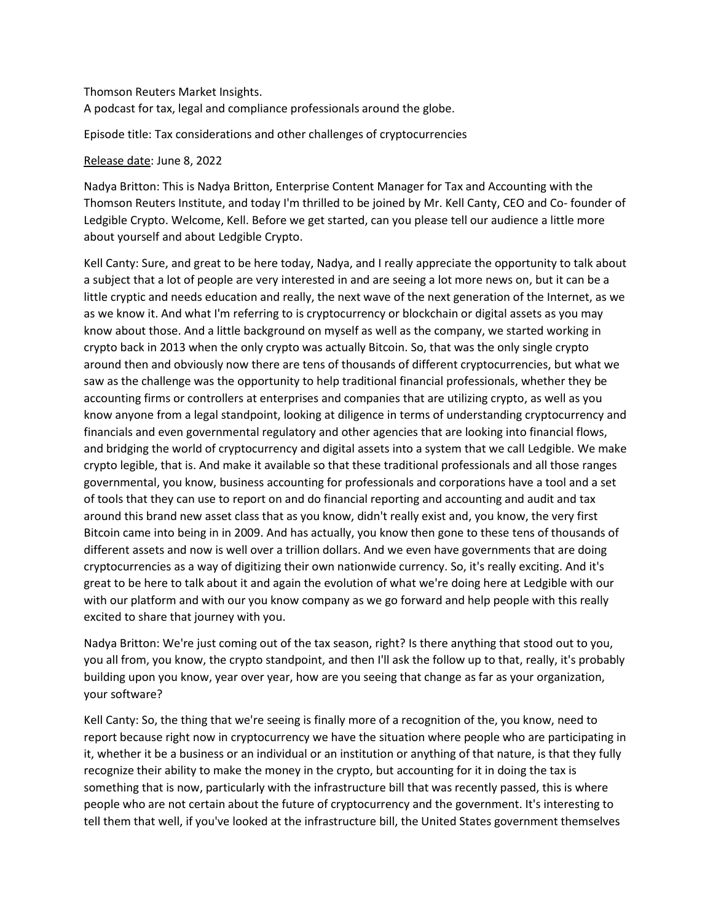Thomson Reuters Market Insights.

A podcast for tax, legal and compliance professionals around the globe.

Episode title: Tax considerations and other challenges of cryptocurrencies

## Release date: June 8, 2022

Nadya Britton: This is Nadya Britton, Enterprise Content Manager for Tax and Accounting with the Thomson Reuters Institute, and today I'm thrilled to be joined by Mr. Kell Canty, CEO and Co- founder of Ledgible Crypto. Welcome, Kell. Before we get started, can you please tell our audience a little more about yourself and about Ledgible Crypto.

Kell Canty: Sure, and great to be here today, Nadya, and I really appreciate the opportunity to talk about a subject that a lot of people are very interested in and are seeing a lot more news on, but it can be a little cryptic and needs education and really, the next wave of the next generation of the Internet, as we as we know it. And what I'm referring to is cryptocurrency or blockchain or digital assets as you may know about those. And a little background on myself as well as the company, we started working in crypto back in 2013 when the only crypto was actually Bitcoin. So, that was the only single crypto around then and obviously now there are tens of thousands of different cryptocurrencies, but what we saw as the challenge was the opportunity to help traditional financial professionals, whether they be accounting firms or controllers at enterprises and companies that are utilizing crypto, as well as you know anyone from a legal standpoint, looking at diligence in terms of understanding cryptocurrency and financials and even governmental regulatory and other agencies that are looking into financial flows, and bridging the world of cryptocurrency and digital assets into a system that we call Ledgible. We make crypto legible, that is. And make it available so that these traditional professionals and all those ranges governmental, you know, business accounting for professionals and corporations have a tool and a set of tools that they can use to report on and do financial reporting and accounting and audit and tax around this brand new asset class that as you know, didn't really exist and, you know, the very first Bitcoin came into being in in 2009. And has actually, you know then gone to these tens of thousands of different assets and now is well over a trillion dollars. And we even have governments that are doing cryptocurrencies as a way of digitizing their own nationwide currency. So, it's really exciting. And it's great to be here to talk about it and again the evolution of what we're doing here at Ledgible with our with our platform and with our you know company as we go forward and help people with this really excited to share that journey with you.

Nadya Britton: We're just coming out of the tax season, right? Is there anything that stood out to you, you all from, you know, the crypto standpoint, and then I'll ask the follow up to that, really, it's probably building upon you know, year over year, how are you seeing that change as far as your organization, your software?

Kell Canty: So, the thing that we're seeing is finally more of a recognition of the, you know, need to report because right now in cryptocurrency we have the situation where people who are participating in it, whether it be a business or an individual or an institution or anything of that nature, is that they fully recognize their ability to make the money in the crypto, but accounting for it in doing the tax is something that is now, particularly with the infrastructure bill that was recently passed, this is where people who are not certain about the future of cryptocurrency and the government. It's interesting to tell them that well, if you've looked at the infrastructure bill, the United States government themselves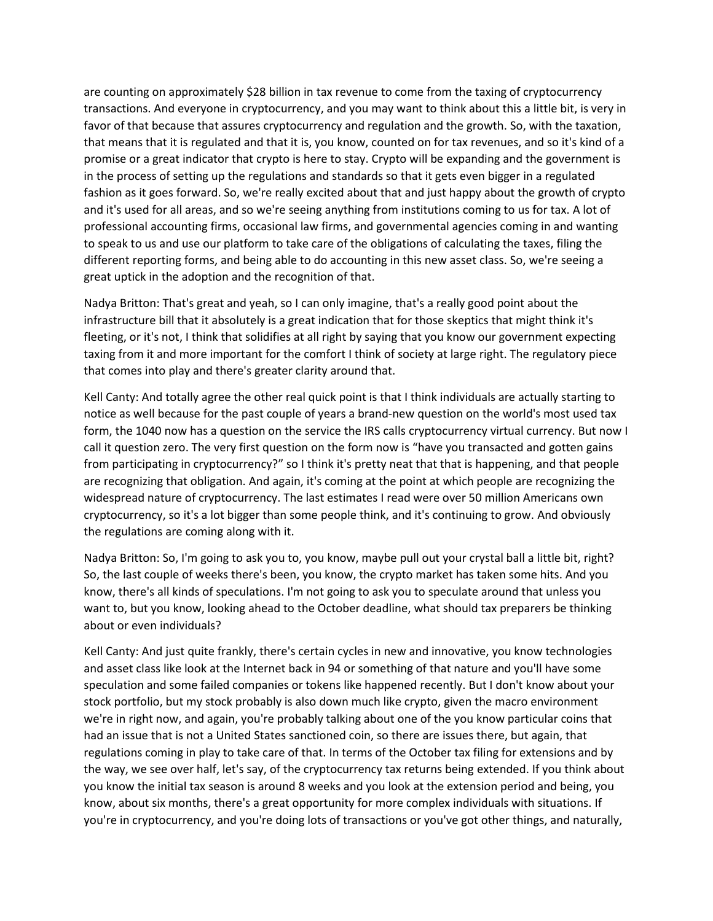are counting on approximately \$28 billion in tax revenue to come from the taxing of cryptocurrency transactions. And everyone in cryptocurrency, and you may want to think about this a little bit, is very in favor of that because that assures cryptocurrency and regulation and the growth. So, with the taxation, that means that it is regulated and that it is, you know, counted on for tax revenues, and so it's kind of a promise or a great indicator that crypto is here to stay. Crypto will be expanding and the government is in the process of setting up the regulations and standards so that it gets even bigger in a regulated fashion as it goes forward. So, we're really excited about that and just happy about the growth of crypto and it's used for all areas, and so we're seeing anything from institutions coming to us for tax. A lot of professional accounting firms, occasional law firms, and governmental agencies coming in and wanting to speak to us and use our platform to take care of the obligations of calculating the taxes, filing the different reporting forms, and being able to do accounting in this new asset class. So, we're seeing a great uptick in the adoption and the recognition of that.

Nadya Britton: That's great and yeah, so I can only imagine, that's a really good point about the infrastructure bill that it absolutely is a great indication that for those skeptics that might think it's fleeting, or it's not, I think that solidifies at all right by saying that you know our government expecting taxing from it and more important for the comfort I think of society at large right. The regulatory piece that comes into play and there's greater clarity around that.

Kell Canty: And totally agree the other real quick point is that I think individuals are actually starting to notice as well because for the past couple of years a brand-new question on the world's most used tax form, the 1040 now has a question on the service the IRS calls cryptocurrency virtual currency. But now I call it question zero. The very first question on the form now is "have you transacted and gotten gains from participating in cryptocurrency?" so I think it's pretty neat that that is happening, and that people are recognizing that obligation. And again, it's coming at the point at which people are recognizing the widespread nature of cryptocurrency. The last estimates I read were over 50 million Americans own cryptocurrency, so it's a lot bigger than some people think, and it's continuing to grow. And obviously the regulations are coming along with it.

Nadya Britton: So, I'm going to ask you to, you know, maybe pull out your crystal ball a little bit, right? So, the last couple of weeks there's been, you know, the crypto market has taken some hits. And you know, there's all kinds of speculations. I'm not going to ask you to speculate around that unless you want to, but you know, looking ahead to the October deadline, what should tax preparers be thinking about or even individuals?

Kell Canty: And just quite frankly, there's certain cycles in new and innovative, you know technologies and asset class like look at the Internet back in 94 or something of that nature and you'll have some speculation and some failed companies or tokens like happened recently. But I don't know about your stock portfolio, but my stock probably is also down much like crypto, given the macro environment we're in right now, and again, you're probably talking about one of the you know particular coins that had an issue that is not a United States sanctioned coin, so there are issues there, but again, that regulations coming in play to take care of that. In terms of the October tax filing for extensions and by the way, we see over half, let's say, of the cryptocurrency tax returns being extended. If you think about you know the initial tax season is around 8 weeks and you look at the extension period and being, you know, about six months, there's a great opportunity for more complex individuals with situations. If you're in cryptocurrency, and you're doing lots of transactions or you've got other things, and naturally,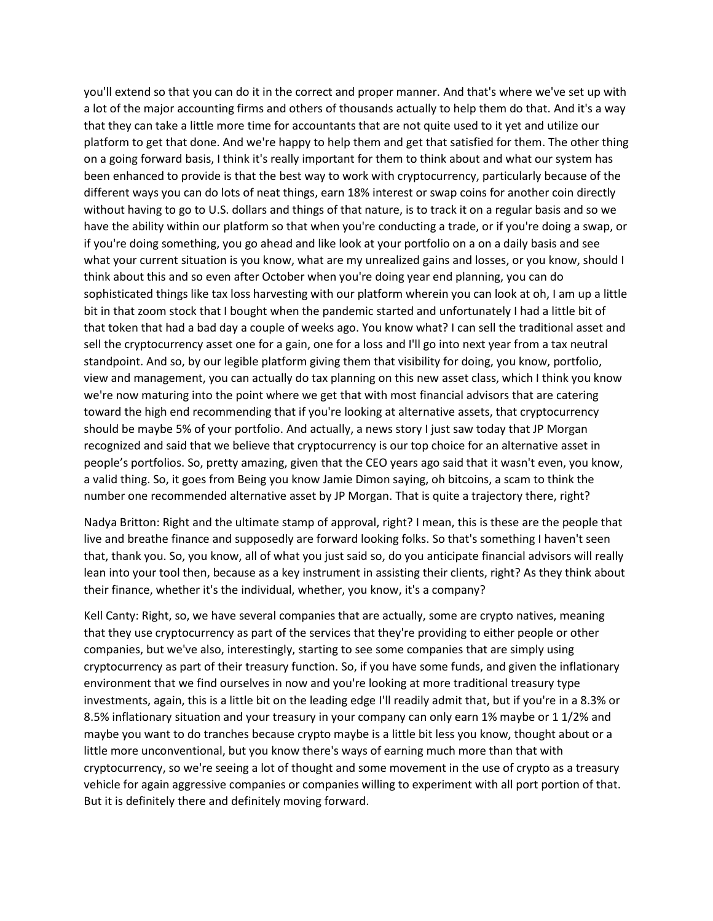you'll extend so that you can do it in the correct and proper manner. And that's where we've set up with a lot of the major accounting firms and others of thousands actually to help them do that. And it's a way that they can take a little more time for accountants that are not quite used to it yet and utilize our platform to get that done. And we're happy to help them and get that satisfied for them. The other thing on a going forward basis, I think it's really important for them to think about and what our system has been enhanced to provide is that the best way to work with cryptocurrency, particularly because of the different ways you can do lots of neat things, earn 18% interest or swap coins for another coin directly without having to go to U.S. dollars and things of that nature, is to track it on a regular basis and so we have the ability within our platform so that when you're conducting a trade, or if you're doing a swap, or if you're doing something, you go ahead and like look at your portfolio on a on a daily basis and see what your current situation is you know, what are my unrealized gains and losses, or you know, should I think about this and so even after October when you're doing year end planning, you can do sophisticated things like tax loss harvesting with our platform wherein you can look at oh, I am up a little bit in that zoom stock that I bought when the pandemic started and unfortunately I had a little bit of that token that had a bad day a couple of weeks ago. You know what? I can sell the traditional asset and sell the cryptocurrency asset one for a gain, one for a loss and I'll go into next year from a tax neutral standpoint. And so, by our legible platform giving them that visibility for doing, you know, portfolio, view and management, you can actually do tax planning on this new asset class, which I think you know we're now maturing into the point where we get that with most financial advisors that are catering toward the high end recommending that if you're looking at alternative assets, that cryptocurrency should be maybe 5% of your portfolio. And actually, a news story I just saw today that JP Morgan recognized and said that we believe that cryptocurrency is our top choice for an alternative asset in people's portfolios. So, pretty amazing, given that the CEO years ago said that it wasn't even, you know, a valid thing. So, it goes from Being you know Jamie Dimon saying, oh bitcoins, a scam to think the number one recommended alternative asset by JP Morgan. That is quite a trajectory there, right?

Nadya Britton: Right and the ultimate stamp of approval, right? I mean, this is these are the people that live and breathe finance and supposedly are forward looking folks. So that's something I haven't seen that, thank you. So, you know, all of what you just said so, do you anticipate financial advisors will really lean into your tool then, because as a key instrument in assisting their clients, right? As they think about their finance, whether it's the individual, whether, you know, it's a company?

Kell Canty: Right, so, we have several companies that are actually, some are crypto natives, meaning that they use cryptocurrency as part of the services that they're providing to either people or other companies, but we've also, interestingly, starting to see some companies that are simply using cryptocurrency as part of their treasury function. So, if you have some funds, and given the inflationary environment that we find ourselves in now and you're looking at more traditional treasury type investments, again, this is a little bit on the leading edge I'll readily admit that, but if you're in a 8.3% or 8.5% inflationary situation and your treasury in your company can only earn 1% maybe or 1 1/2% and maybe you want to do tranches because crypto maybe is a little bit less you know, thought about or a little more unconventional, but you know there's ways of earning much more than that with cryptocurrency, so we're seeing a lot of thought and some movement in the use of crypto as a treasury vehicle for again aggressive companies or companies willing to experiment with all port portion of that. But it is definitely there and definitely moving forward.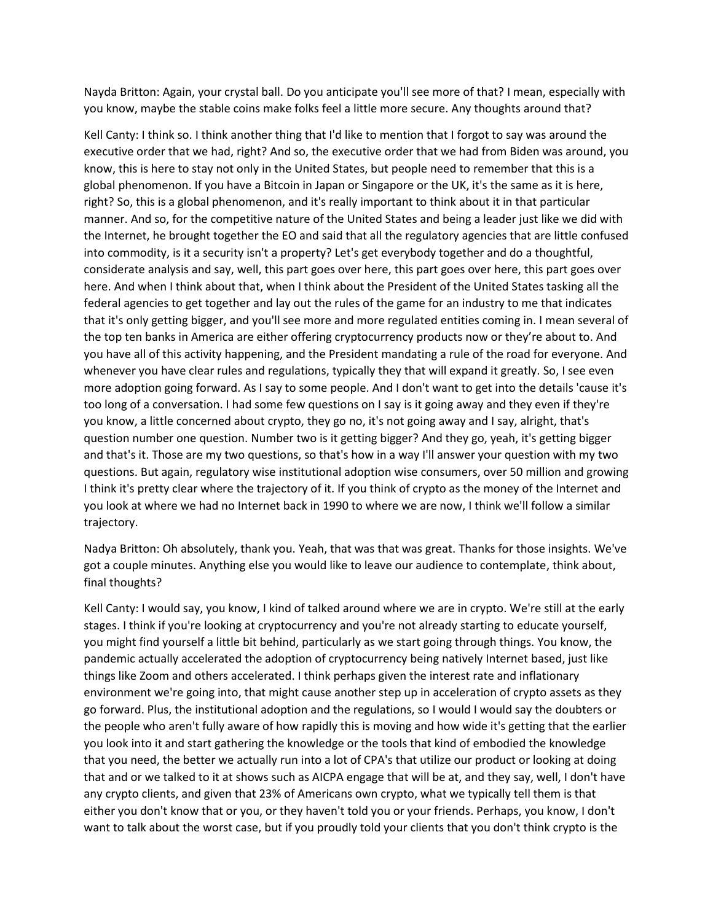Nayda Britton: Again, your crystal ball. Do you anticipate you'll see more of that? I mean, especially with you know, maybe the stable coins make folks feel a little more secure. Any thoughts around that?

Kell Canty: I think so. I think another thing that I'd like to mention that I forgot to say was around the executive order that we had, right? And so, the executive order that we had from Biden was around, you know, this is here to stay not only in the United States, but people need to remember that this is a global phenomenon. If you have a Bitcoin in Japan or Singapore or the UK, it's the same as it is here, right? So, this is a global phenomenon, and it's really important to think about it in that particular manner. And so, for the competitive nature of the United States and being a leader just like we did with the Internet, he brought together the EO and said that all the regulatory agencies that are little confused into commodity, is it a security isn't a property? Let's get everybody together and do a thoughtful, considerate analysis and say, well, this part goes over here, this part goes over here, this part goes over here. And when I think about that, when I think about the President of the United States tasking all the federal agencies to get together and lay out the rules of the game for an industry to me that indicates that it's only getting bigger, and you'll see more and more regulated entities coming in. I mean several of the top ten banks in America are either offering cryptocurrency products now or they're about to. And you have all of this activity happening, and the President mandating a rule of the road for everyone. And whenever you have clear rules and regulations, typically they that will expand it greatly. So, I see even more adoption going forward. As I say to some people. And I don't want to get into the details 'cause it's too long of a conversation. I had some few questions on I say is it going away and they even if they're you know, a little concerned about crypto, they go no, it's not going away and I say, alright, that's question number one question. Number two is it getting bigger? And they go, yeah, it's getting bigger and that's it. Those are my two questions, so that's how in a way I'll answer your question with my two questions. But again, regulatory wise institutional adoption wise consumers, over 50 million and growing I think it's pretty clear where the trajectory of it. If you think of crypto as the money of the Internet and you look at where we had no Internet back in 1990 to where we are now, I think we'll follow a similar trajectory.

Nadya Britton: Oh absolutely, thank you. Yeah, that was that was great. Thanks for those insights. We've got a couple minutes. Anything else you would like to leave our audience to contemplate, think about, final thoughts?

Kell Canty: I would say, you know, I kind of talked around where we are in crypto. We're still at the early stages. I think if you're looking at cryptocurrency and you're not already starting to educate yourself, you might find yourself a little bit behind, particularly as we start going through things. You know, the pandemic actually accelerated the adoption of cryptocurrency being natively Internet based, just like things like Zoom and others accelerated. I think perhaps given the interest rate and inflationary environment we're going into, that might cause another step up in acceleration of crypto assets as they go forward. Plus, the institutional adoption and the regulations, so I would I would say the doubters or the people who aren't fully aware of how rapidly this is moving and how wide it's getting that the earlier you look into it and start gathering the knowledge or the tools that kind of embodied the knowledge that you need, the better we actually run into a lot of CPA's that utilize our product or looking at doing that and or we talked to it at shows such as AICPA engage that will be at, and they say, well, I don't have any crypto clients, and given that 23% of Americans own crypto, what we typically tell them is that either you don't know that or you, or they haven't told you or your friends. Perhaps, you know, I don't want to talk about the worst case, but if you proudly told your clients that you don't think crypto is the